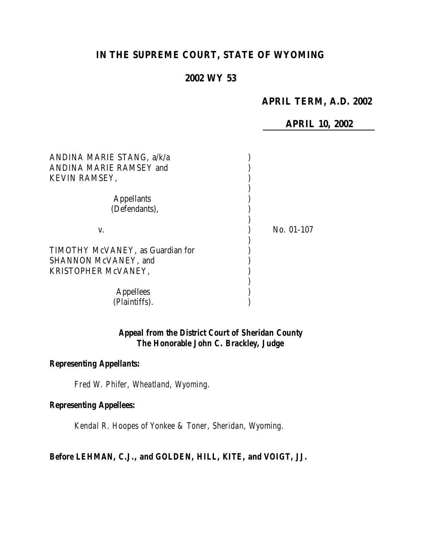# **IN THE SUPREME COURT, STATE OF WYOMING**

# **2002 WY 53**

# **APRIL TERM, A.D. 2002**

**APRIL 10, 2002**

| ANDINA MARIE STANG, a/k/a<br>ANDINA MARIE RAMSEY and<br>KEVIN RAMSEY,                   |            |
|-----------------------------------------------------------------------------------------|------------|
| <b>Appellants</b><br>(Defendants),                                                      |            |
| V.                                                                                      | No. 01-107 |
| TIMOTHY McVANEY, as Guardian for<br><b>SHANNON McVANEY</b> , and<br>KRISTOPHER MCVANEY, |            |
| <b>Appellees</b><br>(Plaintiffs).                                                       |            |

# *Appeal from the District Court of Sheridan County The Honorable John C. Brackley, Judge*

# *Representing Appellants:*

*Fred W. Phifer, Wheatland, Wyoming.*

#### *Representing Appellees:*

*Kendal R. Hoopes of Yonkee & Toner, Sheridan, Wyoming.*

#### *Before LEHMAN, C.J., and GOLDEN, HILL, KITE, and VOIGT, JJ.*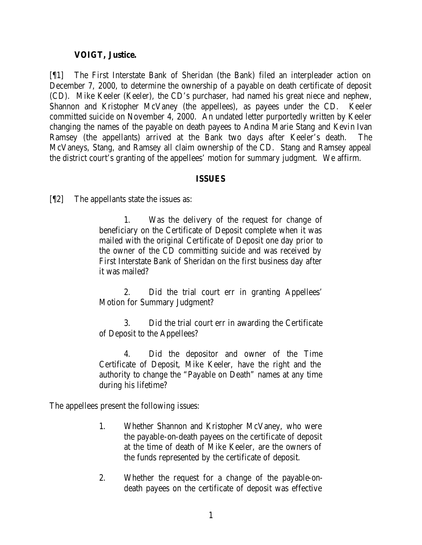#### **VOIGT, Justice.**

[¶1] The First Interstate Bank of Sheridan (the Bank) filed an interpleader action on December 7, 2000, to determine the ownership of a payable on death certificate of deposit (CD). Mike Keeler (Keeler), the CD's purchaser, had named his great niece and nephew, Shannon and Kristopher McVaney (the appellees), as payees under the CD. Keeler committed suicide on November 4, 2000. An undated letter purportedly written by Keeler changing the names of the payable on death payees to Andina Marie Stang and Kevin Ivan Ramsey (the appellants) arrived at the Bank two days after Keeler's death. The McVaneys, Stang, and Ramsey all claim ownership of the CD. Stang and Ramsey appeal the district court's granting of the appellees' motion for summary judgment. We affirm.

#### **ISSUES**

[¶2] The appellants state the issues as:

1. Was the delivery of the request for change of beneficiary on the Certificate of Deposit complete when it was mailed with the original Certificate of Deposit one day prior to the owner of the CD committing suicide and was received by First Interstate Bank of Sheridan on the first business day after it was mailed?

2. Did the trial court err in granting Appellees' Motion for Summary Judgment?

3. Did the trial court err in awarding the Certificate of Deposit to the Appellees?

4. Did the depositor and owner of the Time Certificate of Deposit, Mike Keeler, have the right and the authority to change the "Payable on Death" names at any time during his lifetime?

The appellees present the following issues:

- 1. Whether Shannon and Kristopher McVaney, who were the payable-on-death payees on the certificate of deposit at the time of death of Mike Keeler, are the owners of the funds represented by the certificate of deposit.
- 2. Whether the request for a change of the payable-ondeath payees on the certificate of deposit was effective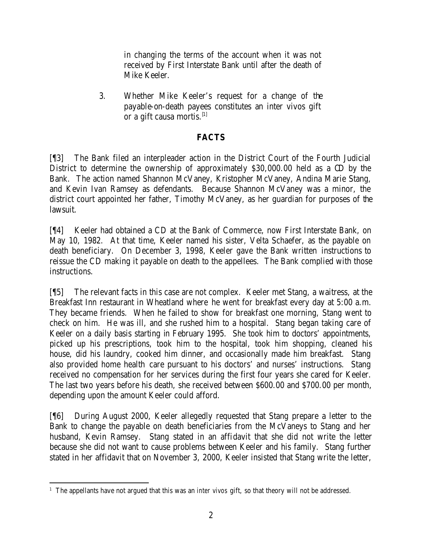in changing the terms of the account when it was not received by First Interstate Bank until after the death of Mike Keeler.

3. Whether Mike Keeler's request for a change of the payable-on-death payees constitutes an inter vivos gift or a gift causa mortis.<sup>[1]</sup>

# **FACTS**

[¶3] The Bank filed an interpleader action in the District Court of the Fourth Judicial District to determine the ownership of approximately \$30,000.00 held as a CD by the Bank. The action named Shannon McVaney, Kristopher McVaney, Andina Marie Stang, and Kevin Ivan Ramsey as defendants. Because Shannon McVaney was a minor, the district court appointed her father, Timothy McVaney, as her guardian for purposes of the lawsuit.

[¶4] Keeler had obtained a CD at the Bank of Commerce, now First Interstate Bank, on May 10, 1982. At that time, Keeler named his sister, Velta Schaefer, as the payable on death beneficiary. On December 3, 1998, Keeler gave the Bank written instructions to reissue the CD making it payable on death to the appellees. The Bank complied with those instructions.

[¶5] The relevant facts in this case are not complex. Keeler met Stang, a waitress, at the Breakfast Inn restaurant in Wheatland where he went for breakfast every day at 5:00 a.m. They became friends. When he failed to show for breakfast one morning, Stang went to check on him. He was ill, and she rushed him to a hospital. Stang began taking care of Keeler on a daily basis starting in February 1995. She took him to doctors' appointments, picked up his prescriptions, took him to the hospital, took him shopping, cleaned his house, did his laundry, cooked him dinner, and occasionally made him breakfast. Stang also provided home health care pursuant to his doctors' and nurses' instructions. Stang received no compensation for her services during the first four years she cared for Keeler. The last two years before his death, she received between \$600.00 and \$700.00 per month, depending upon the amount Keeler could afford.

[¶6] During August 2000, Keeler allegedly requested that Stang prepare a letter to the Bank to change the payable on death beneficiaries from the McVaneys to Stang and her husband, Kevin Ramsey. Stang stated in an affidavit that she did not write the letter because she did not want to cause problems between Keeler and his family. Stang further stated in her affidavit that on November 3, 2000, Keeler insisted that Stang write the letter,

 1 The appellants have not argued that this was an *inter vivos* gift, so that theory will not be addressed.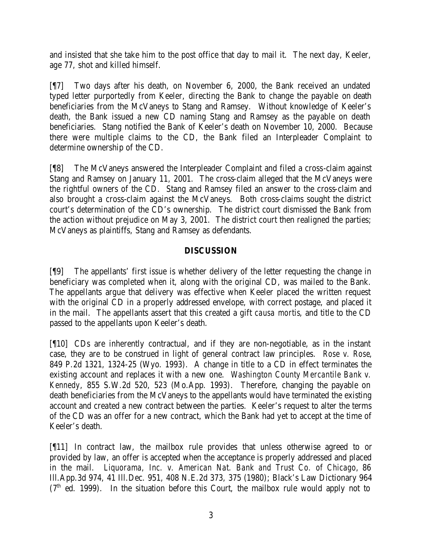and insisted that she take him to the post office that day to mail it. The next day, Keeler, age 77, shot and killed himself.

[¶7] Two days after his death, on November 6, 2000, the Bank received an undated typed letter purportedly from Keeler, directing the Bank to change the payable on death beneficiaries from the McVaneys to Stang and Ramsey. Without knowledge of Keeler's death, the Bank issued a new CD naming Stang and Ramsey as the payable on death beneficiaries. Stang notified the Bank of Keeler's death on November 10, 2000. Because there were multiple claims to the CD, the Bank filed an Interpleader Complaint to determine ownership of the CD.

[¶8] The McVaneys answered the Interpleader Complaint and filed a cross-claim against Stang and Ramsey on January 11, 2001. The cross-claim alleged that the McVaneys were the rightful owners of the CD. Stang and Ramsey filed an answer to the cross-claim and also brought a cross-claim against the McVaneys. Both cross-claims sought the district court's determination of the CD's ownership. The district court dismissed the Bank from the action without prejudice on May 3, 2001. The district court then realigned the parties; McVaneys as plaintiffs, Stang and Ramsey as defendants.

# **DISCUSSION**

[¶9] The appellants' first issue is whether delivery of the letter requesting the change in beneficiary was completed when it, along with the original CD, was mailed to the Bank. The appellants argue that delivery was effective when Keeler placed the written request with the original CD in a properly addressed envelope, with correct postage, and placed it in the mail. The appellants assert that this created a gift *causa mortis*, and title to the CD passed to the appellants upon Keeler's death.

[¶10] CDs are inherently contractual, and if they are non-negotiable, as in the instant case, they are to be construed in light of general contract law principles. *Rose v. Rose*, 849 P.2d 1321, 1324-25 (Wyo. 1993). A change in title to a CD in effect terminates the existing account and replaces it with a new one. *Washington County Mercantile Bank v. Kennedy*, 855 S.W.2d 520, 523 (Mo.App. 1993). Therefore, changing the payable on death beneficiaries from the McVaneys to the appellants would have terminated the existing account and created a new contract between the parties. Keeler's request to alter the terms of the CD was an offer for a new contract, which the Bank had yet to accept at the time of Keeler's death.

[¶11] In contract law, the mailbox rule provides that unless otherwise agreed to or provided by law, an offer is accepted when the acceptance is properly addressed and placed in the mail. *Liquorama, Inc. v. American Nat. Bank and Trust Co. of Chicago*, 86 Ill.App.3d 974, 41 Ill.Dec. 951, 408 N.E.2d 373, 375 (1980); Black's Law Dictionary 964  $(7<sup>th</sup>$  ed. 1999). In the situation before this Court, the mailbox rule would apply not to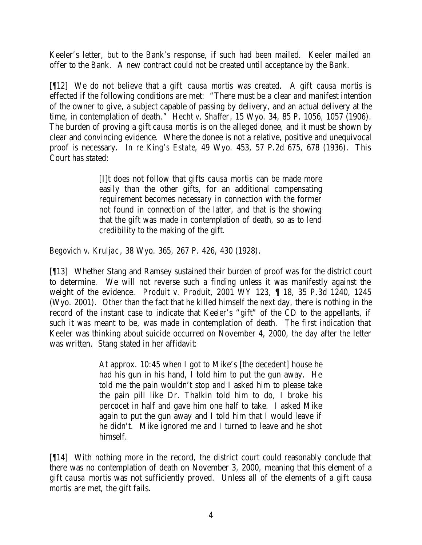Keeler's letter, but to the Bank's response, if such had been mailed. Keeler mailed an offer to the Bank. A new contract could not be created until acceptance by the Bank.

[¶12] We do not believe that a gift *causa mortis* was created. A gift *causa mortis* is effected if the following conditions are met: "There must be a clear and manifest intention of the owner to give, a subject capable of passing by delivery, and an actual delivery at the time, in contemplation of death." *Hecht v. Shaffer*, 15 Wyo. 34, 85 P. 1056, 1057 (1906). The burden of proving a gift *causa mortis* is on the alleged donee, and it must be shown by clear and convincing evidence. Where the donee is not a relative, positive and unequivocal proof is necessary. *In re King's Estate*, 49 Wyo. 453, 57 P.2d 675, 678 (1936). This Court has stated:

> [I]t does not follow that gifts *causa mortis* can be made more easily than the other gifts, for an additional compensating requirement becomes necessary in connection with the former not found in connection of the latter, and that is the showing that the gift was made in contemplation of death, so as to lend credibility to the making of the gift.

*Begovich v. Kruljac*, 38 Wyo. 365, 267 P. 426, 430 (1928).

[¶13] Whether Stang and Ramsey sustained their burden of proof was for the district court to determine. We will not reverse such a finding unless it was manifestly against the weight of the evidence. *Produit v. Produit*, 2001 WY 123, ¶ 18, 35 P.3d 1240, 1245 (Wyo. 2001). Other than the fact that he killed himself the next day, there is nothing in the record of the instant case to indicate that Keeler's "gift" of the CD to the appellants, if such it was meant to be, was made in contemplation of death. The first indication that Keeler was thinking about suicide occurred on November 4, 2000, the day after the letter was written. Stang stated in her affidavit:

> At approx. 10:45 when I got to Mike's [the decedent] house he had his gun in his hand, I told him to put the gun away. He told me the pain wouldn't stop and I asked him to please take the pain pill like Dr. Thalkin told him to do, I broke his percocet in half and gave him one half to take. I asked Mike again to put the gun away and I told him that I would leave if he didn't. Mike ignored me and I turned to leave and he shot himself.

[¶14] With nothing more in the record, the district court could reasonably conclude that there was no contemplation of death on November 3, 2000, meaning that this element of a gift *causa mortis* was not sufficiently proved. Unless all of the elements of a gift *causa mortis* are met, the gift fails.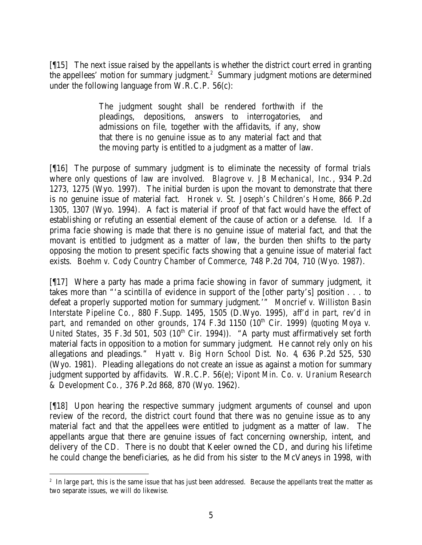[¶15] The next issue raised by the appellants is whether the district court erred in granting the appellees' motion for summary judgment.<sup>2</sup> Summary judgment motions are determined under the following language from W.R.C.P. 56(c):

> The judgment sought shall be rendered forthwith if the pleadings, depositions, answers to interrogatories, and admissions on file, together with the affidavits, if any, show that there is no genuine issue as to any material fact and that the moving party is entitled to a judgment as a matter of law.

[¶16] The purpose of summary judgment is to eliminate the necessity of formal trials where only questions of law are involved. *Blagrove v. JB Mechanical, Inc.*, 934 P.2d 1273, 1275 (Wyo. 1997). The initial burden is upon the movant to demonstrate that there is no genuine issue of material fact. *Hronek v. St. Joseph's Children's Home*, 866 P.2d 1305, 1307 (Wyo. 1994). A fact is material if proof of that fact would have the effect of establishing or refuting an essential element of the cause of action or a defense. *Id.* If a prima facie showing is made that there is no genuine issue of material fact, and that the movant is entitled to judgment as a matter of law, the burden then shifts to the party opposing the motion to present specific facts showing that a genuine issue of material fact exists. *Boehm v. Cody Country Chamber of Commerce*, 748 P.2d 704, 710 (Wyo. 1987).

[¶17] Where a party has made a prima facie showing in favor of summary judgment, it takes more than "'a scintilla of evidence in support of the [other party's] position . . . to defeat a properly supported motion for summary judgment.'" *Moncrief v. Williston Basin Interstate Pipeline Co.*, 880 F.Supp. 1495, 1505 (D.Wyo. 1995), *aff'd in part, rev'd in*  part, and remanded on other grounds, 174 F.3d 1150 (10<sup>th</sup> Cir. 1999) (quoting Moya v. *United States*, 35 F.3d 501, 503 (10<sup>th</sup> Cir. 1994)). "A party must affirmatively set forth material facts in opposition to a motion for summary judgment. He cannot rely only on his allegations and pleadings." *Hyatt v. Big Horn School Dist. No. 4*, 636 P.2d 525, 530 (Wyo. 1981). Pleading allegations do not create an issue as against a motion for summary judgment supported by affidavits. W.R.C.P. 56(e); *Vipont Min. Co. v. Uranium Research & Development Co.*, 376 P.2d 868, 870 (Wyo. 1962).

[¶18] Upon hearing the respective summary judgment arguments of counsel and upon review of the record, the district court found that there was no genuine issue as to any material fact and that the appellees were entitled to judgment as a matter of law. The appellants argue that there are genuine issues of fact concerning ownership, intent, and delivery of the CD. There is no doubt that Keeler owned the CD, and during his lifetime he could change the beneficiaries, as he did from his sister to the McVaneys in 1998, with

 <sup>2</sup> In large part, this is the same issue that has just been addressed. Because the appellants treat the matter as two separate issues, we will do likewise.